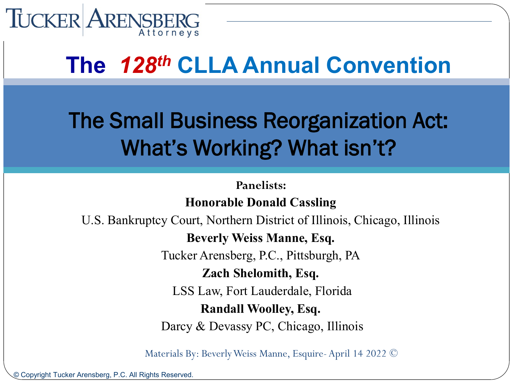

#### **The** *128th* **CLLA Annual Convention**

#### The Small Business Reorganization Act: What's Working? What isn't?

**Panelists:** 

**Honorable Donald Cassling**

U.S. Bankruptcy Court, Northern District of Illinois, Chicago, Illinois

**Beverly Weiss Manne, Esq.** 

Tucker Arensberg, P.C., Pittsburgh, PA

**Zach Shelomith, Esq.**

LSS Law, Fort Lauderdale, Florida

**Randall Woolley, Esq.**

Darcy & Devassy PC, Chicago, Illinois

Materials By: Beverly Weiss Manne, Esquire-April 14 2022 ©

© Copyright Tucker Arensberg, P.C. All Rights Reserved.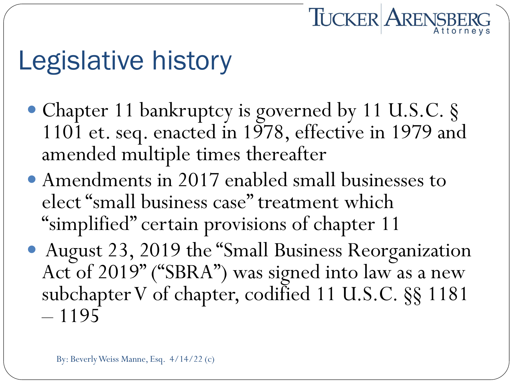# Legislative history

• Chapter 11 bankruptcy is governed by 11 U.S.C. § 1101 et. seq. enacted in 1978, effective in 1979 and amended multiple times thereafter

**TUCKER ARENSBERG** 

- Amendments in 2017 enabled small businesses to elect "small business case" treatment which "simplified" certain provisions of chapter 11
- August 23, 2019 the "Small Business Reorganization Act of 2019" ("SBRA") was signed into law as a new subchapter V of chapter, codified 11 U.S.C. §§ 1181<br>- 1195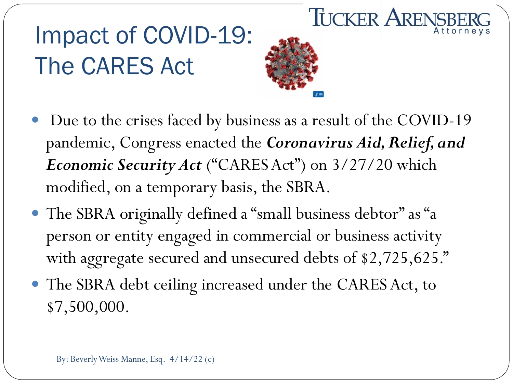## Impact of COVID-19: The CARES Act



**TUCKER ARENSBE** 

- Due to the crises faced by business as a result of the COVID-19 pandemic, Congress enacted the *Coronavirus Aid, Relief, and Economic Security Act* ("CARES Act") on 3/27/20 which modified, on a temporary basis, the SBRA.
- The SBRA originally defined a "small business debtor" as "a person or entity engaged in commercial or business activity with aggregate secured and unsecured debts of \$2,725,625."
- The SBRA debt ceiling increased under the CARES Act, to \$7,500,000.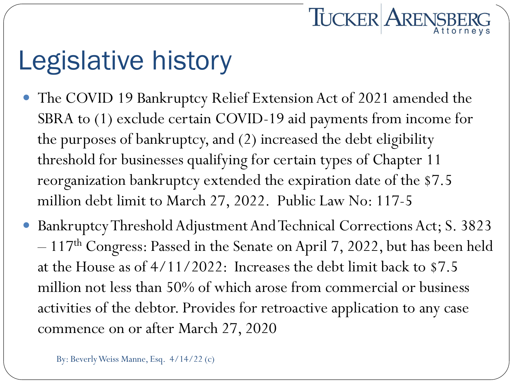## Legislative history

 The COVID 19 Bankruptcy Relief Extension Act of 2021 amended the SBRA to (1) exclude certain COVID-19 aid payments from income for the purposes of bankruptcy, and (2) increased the debt eligibility threshold for businesses qualifying for certain types of Chapter 11 reorganization bankruptcy extended the expiration date of the \$7.5 million debt limit to March 27, 2022. Public Law No: 117-5

**TUCKER ARENSBERG** 

 Bankruptcy Threshold Adjustment And Technical Corrections Act; S. 3823  $-117<sup>th</sup> Congress: Passed in the Senate on April 7, 2022, but has been held$ at the House as of 4/11/2022: Increases the debt limit back to \$7.5 million not less than 50% of which arose from commercial or business activities of the debtor. Provides for retroactive application to any case commence on or after March 27, 2020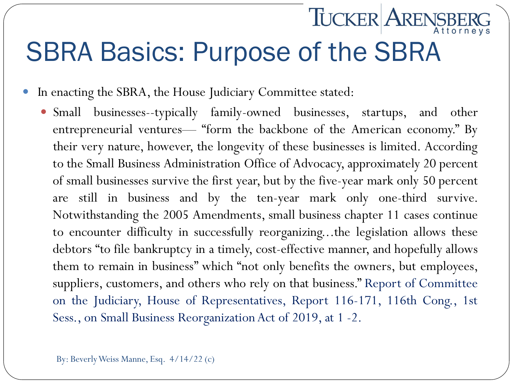#### SBRA Basics: Purpose of the SBRA

**TUCKER ARENSBE** 

In enacting the SBRA, the House Judiciary Committee stated:

 Small businesses--typically family-owned businesses, startups, and other entrepreneurial ventures— "form the backbone of the American economy." By their very nature, however, the longevity of these businesses is limited. According to the Small Business Administration Office of Advocacy, approximately 20 percent of small businesses survive the first year, but by the five-year mark only 50 percent are still in business and by the ten-year mark only one-third survive. Notwithstanding the 2005 Amendments, small business chapter 11 cases continue to encounter difficulty in successfully reorganizing...the legislation allows these debtors "to file bankruptcy in a timely, cost-effective manner, and hopefully allows them to remain in business" which "not only benefits the owners, but employees, suppliers, customers, and others who rely on that business." Report of Committee on the Judiciary, House of Representatives, Report 116-171, 116th Cong., 1st Sess., on Small Business Reorganization Act of 2019, at 1 -2.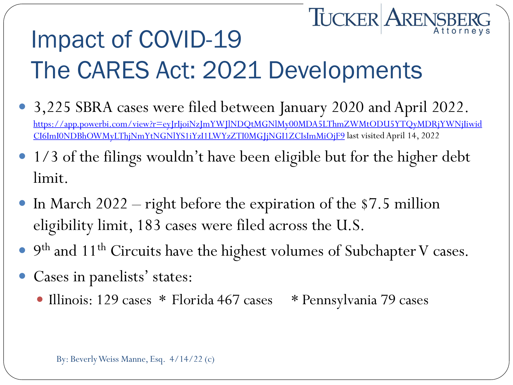#### **TUCKER ARENSBERG** Impact of COVID-19 The CARES Act: 2021 Developments

- 3,225 SBRA cases were filed between January 2020 and April 2022. [https://app.powerbi.com/view?r=eyJrIjoiNzJmYWJlNDQtMGNlMy00MDA5LThmZWMtODU5YTQyMDRjYWNjIiwid](https://app.powerbi.com/view?r=eyJrIjoiNzJmYWJlNDQtMGNlMy00MDA5LThmZWMtODU5YTQyMDRjYWNjIiwidCI6ImI0NDBhOWMyLThjNmYtNGNlYS1iYzI1LWYzZTI0MGJjNGI1ZCIsImMiOjF9) CI6ImI0NDBhOWMyLThjNmYtNGNlYS1iYzI1LWYzZTI0MGJjNGI1ZCIsImMiOjF9 last visited April 14, 2022
- 1/3 of the filings wouldn't have been eligible but for the higher debt limit.
- In March 2022 right before the expiration of the \$7.5 million eligibility limit, 183 cases were filed across the U.S.
- 9<sup>th</sup> and 11<sup>th</sup> Circuits have the highest volumes of Subchapter V cases.
- Cases in panelists' states:
	- Illinois: 129 cases \* Florida 467 cases \* Pennsylvania 79 cases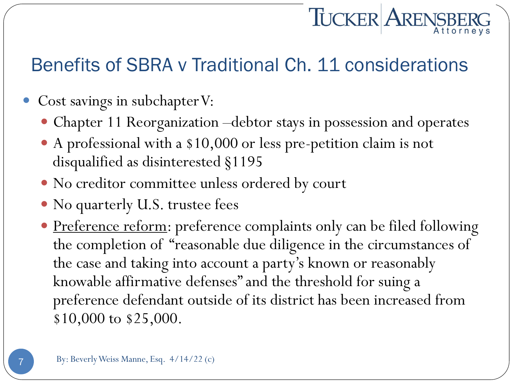# **TUCKER ARENSBE**

#### Benefits of SBRA v Traditional Ch. 11 considerations

- Cost savings in subchapter V:
	- Chapter 11 Reorganization –debtor stays in possession and operates
	- A professional with a \$10,000 or less pre-petition claim is not disqualified as disinterested §1195
	- No creditor committee unless ordered by court
	- No quarterly U.S. trustee fees
	- Preference reform: preference complaints only can be filed following the completion of "reasonable due diligence in the circumstances of the case and taking into account a party's known or reasonably knowable affirmative defenses" and the threshold for suing a preference defendant outside of its district has been increased from \$10,000 to \$25,000.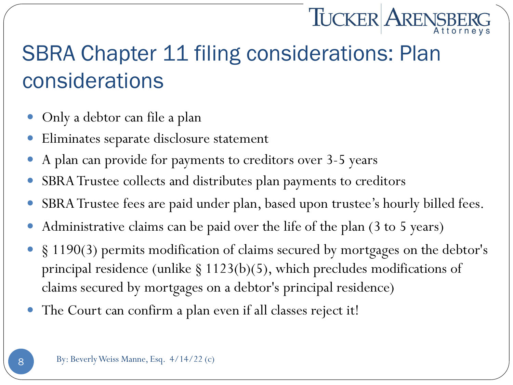# **TUCKER ARENSBI**

#### SBRA Chapter 11 filing considerations: Plan considerations

- Only a debtor can file a plan
- Eliminates separate disclosure statement
- A plan can provide for payments to creditors over 3-5 years
- SBRA Trustee collects and distributes plan payments to creditors
- SBRA Trustee fees are paid under plan, based upon trustee's hourly billed fees.
- Administrative claims can be paid over the life of the plan (3 to 5 years)
- § 1190(3) permits modification of claims secured by mortgages on the debtor's principal residence (unlike § 1123(b)(5), which precludes modifications of claims secured by mortgages on a debtor's principal residence)
- The Court can confirm a plan even if all classes reject it!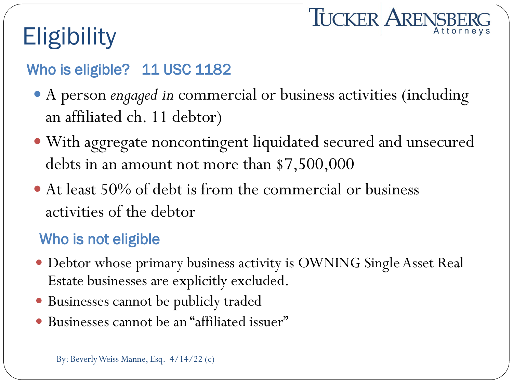## **Eligibility**

#### Who is eligible? 11 USC 1182

 A person *engaged in* commercial or business activities (including an affiliated ch. 11 debtor)

**TUCKER ARENSBERG** 

- With aggregate noncontingent liquidated secured and unsecured debts in an amount not more than \$7,500,000
- At least 50% of debt is from the commercial or business activities of the debtor

#### Who is not eligible

- Debtor whose primary business activity is OWNING Single Asset Real Estate businesses are explicitly excluded.
- Businesses cannot be publicly traded
- Businesses cannot be an "affiliated issuer"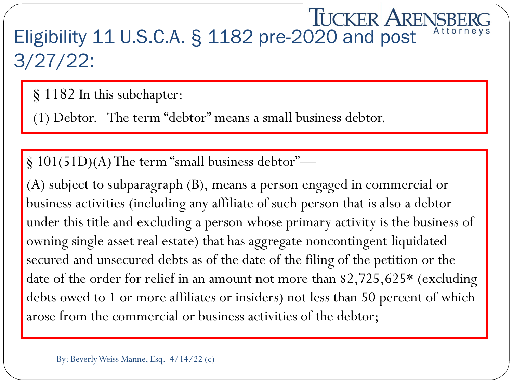#### **TUCKER ARENSBER** Eligibility 11 U.S.C.A. § 1182 pre-2020 and post 3/27/22:

§ 1182 In this subchapter:

(1) Debtor.--The term "debtor" means a small business debtor.

§ 101(51D)(A) The term "small business debtor"—

(A) subject to subparagraph (B), means a person engaged in commercial or business activities (including any affiliate of such person that is also a debtor under this title and excluding a person whose primary activity is the business of owning single asset real estate) that has aggregate noncontingent liquidated secured and unsecured debts as of the date of the filing of the petition or the date of the order for relief in an amount not more than \$2,725,625\* (excluding debts owed to 1 or more affiliates or insiders) not less than 50 percent of which arose from the commercial or business activities of the debtor;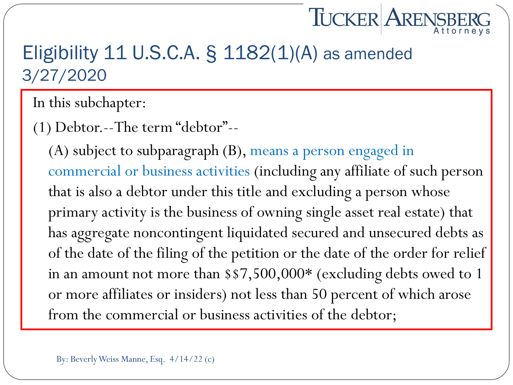# **TUCKER ARENSB**

#### Eligibility 11 U.S.C.A. § 1182(1)(A) as amended 3/27/2020

In this subchapter:

(1) Debtor.--The term "debtor"--

(A) subject to subparagraph (B), means a person engaged in commercial or business activities (including any affiliate of such person that is also a debtor under this title and excluding a person whose primary activity is the business of owning single asset real estate) that has aggregate noncontingent liquidated secured and unsecured debts as of the date of the filing of the petition or the date of the order for relief in an amount not more than \$\$7,500,000\* (excluding debts owed to 1 or more affiliates or insiders) not less than 50 percent of which arose from the commercial or business activities of the debtor;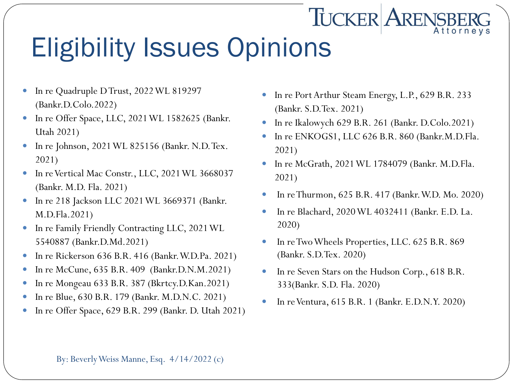## Eligibility Issues Opinions

- In re Quadruple D Trust, 2022 WL 819297 (Bankr.D.Colo.2022)
- In re Offer Space, LLC, 2021 WL 1582625 (Bankr. Utah 2021)
- In re Johnson, 2021 WL 825156 (Bankr. N.D. Tex. 2021)
- In re Vertical Mac Constr., LLC, 2021 WL 3668037 (Bankr. M.D. Fla. 2021)
- In re 218 Jackson LLC 2021 WL 3669371 (Bankr. M.D.Fla.2021)
- In re Family Friendly Contracting LLC, 2021 WL 5540887 (Bankr.D.Md.2021)
- In re Rickerson 636 B.R. 416 (Bankr. W.D.Pa. 2021)
- In re McCune, 635 B.R. 409 (Bankr.D.N.M.2021)
- In re Mongeau 633 B.R. 387 (Bkrtcy.D.Kan.2021)
- In re Blue, 630 B.R. 179 (Bankr. M.D.N.C. 2021)
- In re Offer Space, 629 B.R. 299 (Bankr. D. Utah 2021)

In re Port Arthur Steam Energy, L.P., 629 B.R. 233 (Bankr. S.D.Tex. 2021)

**TUCKER ARENSBE** 

- In re Ikalowych 629 B.R. 261 (Bankr. D.Colo.2021)
- In re ENKOGS1, LLC 626 B.R. 860 (Bankr.M.D.Fla. 2021)
- In re McGrath, 2021 WL 1784079 (Bankr. M.D.Fla. 2021)
- In re Thurmon, 625 B.R. 417 (Bankr. W.D. Mo. 2020)
- In re Blachard, 2020 WL 4032411 (Bankr. E.D. La. 2020)
- In re Two Wheels Properties, LLC. 625 B.R. 869 (Bankr. S.D.Tex. 2020)
- In re Seven Stars on the Hudson Corp., 618 B.R. 333(Bankr. S.D. Fla. 2020)
- In re Ventura, 615 B.R. 1 (Bankr. E.D.N.Y. 2020)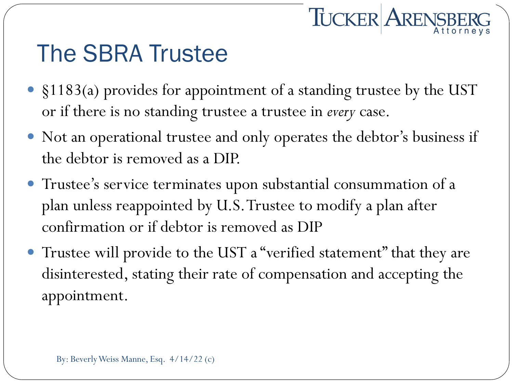#### The SBRA Trustee

 §1183(a) provides for appointment of a standing trustee by the UST or if there is no standing trustee a trustee in *every* case.

**TUCKER ARENSBERG** 

- Not an operational trustee and only operates the debtor's business if the debtor is removed as a DIP.
- Trustee's service terminates upon substantial consummation of a plan unless reappointed by U.S. Trustee to modify a plan after confirmation or if debtor is removed as DIP
- Trustee will provide to the UST a "verified statement" that they are disinterested, stating their rate of compensation and accepting the appointment.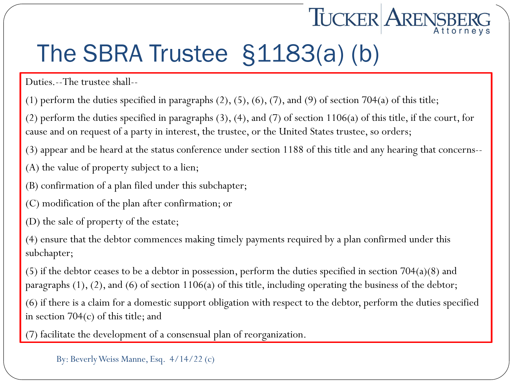### The SBRA Trustee §1183(a) (b)

Duties.--The trustee shall--

(1) perform the duties specified in paragraphs  $(2)$ ,  $(5)$ ,  $(6)$ ,  $(7)$ , and  $(9)$  of section 704 $(a)$  of this title;

(2) perform the duties specified in paragraphs (3), (4), and (7) of section 1106(a) of this title, if the court, for cause and on request of a party in interest, the trustee, or the United States trustee, so orders;

**TUCKER ARENSBI** 

(3) appear and be heard at the status conference under section 1188 of this title and any hearing that concerns--

- (A) the value of property subject to a lien;
- (B) confirmation of a plan filed under this subchapter;
- (C) modification of the plan after confirmation; or
- (D) the sale of property of the estate;

(4) ensure that the debtor commences making timely payments required by a plan confirmed under this subchapter;

(5) if the debtor ceases to be a debtor in possession, perform the duties specified in section 704(a)(8) and paragraphs (1), (2), and (6) of section 1106(a) of this title, including operating the business of the debtor;

(6) if there is a claim for a domestic support obligation with respect to the debtor, perform the duties specified in section 704(c) of this title; and

(7) facilitate the development of a consensual plan of reorganization.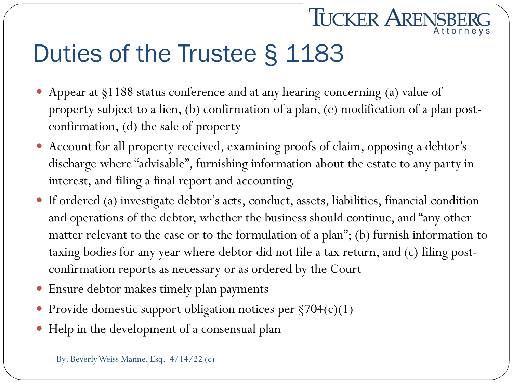## Duties of the Trustee § 1183

 Appear at §1188 status conference and at any hearing concerning (a) value of property subject to a lien, (b) confirmation of a plan, (c) modification of a plan postconfirmation, (d) the sale of property

**TUCKER ARENSBE** 

- Account for all property received, examining proofs of claim, opposing a debtor's discharge where "advisable", furnishing information about the estate to any party in interest, and filing a final report and accounting.
- If ordered (a) investigate debtor's acts, conduct, assets, liabilities, financial condition and operations of the debtor, whether the business should continue, and "any other matter relevant to the case or to the formulation of a plan"; (b) furnish information to taxing bodies for any year where debtor did not file a tax return, and (c) filing postconfirmation reports as necessary or as ordered by the Court
- Ensure debtor makes timely plan payments
- Provide domestic support obligation notices per §704(c)(1)
- Help in the development of a consensual plan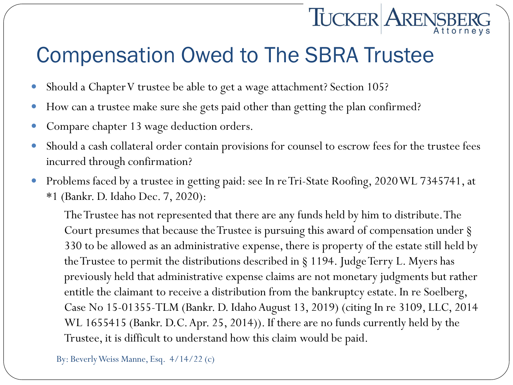#### Compensation Owed to The SBRA Trustee

- Should a Chapter V trustee be able to get a wage attachment? Section 105?
- How can a trustee make sure she gets paid other than getting the plan confirmed?
- Compare chapter 13 wage deduction orders.
- Should a cash collateral order contain provisions for counsel to escrow fees for the trustee fees incurred through confirmation?

**TUCKER ARENSBI** 

 Problems faced by a trustee in getting paid: see In re Tri-State Roofing, 2020 WL 7345741, at \*1 (Bankr. D. Idaho Dec. 7, 2020):

The Trustee has not represented that there are any funds held by him to distribute. The Court presumes that because the Trustee is pursuing this award of compensation under § 330 to be allowed as an administrative expense, there is property of the estate still held by the Trustee to permit the distributions described in § 1194. Judge Terry L. Myers has previously held that administrative expense claims are not monetary judgments but rather entitle the claimant to receive a distribution from the bankruptcy estate. In re Soelberg, Case No 15-01355-TLM (Bankr. D. Idaho August 13, 2019) (citing In re 3109, LLC, 2014 WL 1655415 (Bankr. D.C. Apr. 25, 2014)). If there are no funds currently held by the Trustee, it is difficult to understand how this claim would be paid.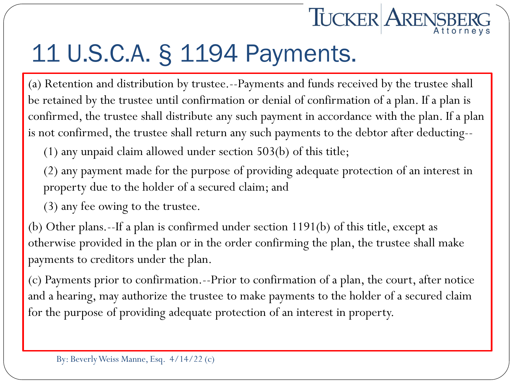

#### 11 U.S.C.A. § 1194 Payments.

(a) Retention and distribution by trustee.--Payments and funds received by the trustee shall be retained by the trustee until confirmation or denial of confirmation of a plan. If a plan is confirmed, the trustee shall distribute any such payment in accordance with the plan. If a plan is not confirmed, the trustee shall return any such payments to the debtor after deducting--

(1) any unpaid claim allowed under section 503(b) of this title;

(2) any payment made for the purpose of providing adequate protection of an interest in property due to the holder of a secured claim; and

(3) any fee owing to the trustee.

(b) Other plans.--If a plan is confirmed under section 1191(b) of this title, except as otherwise provided in the plan or in the order confirming the plan, the trustee shall make payments to creditors under the plan.

(c) Payments prior to confirmation.--Prior to confirmation of a plan, the court, after notice and a hearing, may authorize the trustee to make payments to the holder of a secured claim for the purpose of providing adequate protection of an interest in property.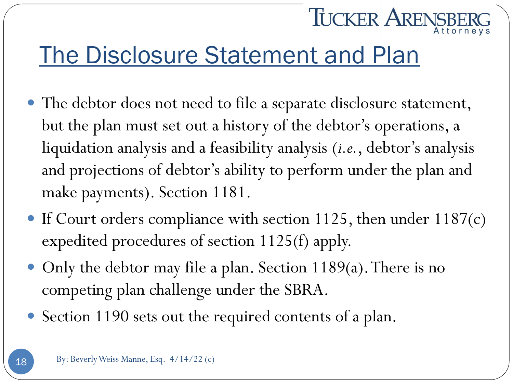#### The Disclosure Statement and Plan

 The debtor does not need to file a separate disclosure statement, but the plan must set out a history of the debtor's operations, a liquidation analysis and a feasibility analysis (*i.e.*, debtor's analysis and projections of debtor's ability to perform under the plan and make payments). Section 1181.

**TUCKER ARENSBI** 

- If Court orders compliance with section 1125, then under  $1187(c)$ expedited procedures of section 1125(f) apply.
- Only the debtor may file a plan. Section 1189(a). There is no competing plan challenge under the SBRA.
- Section 1190 sets out the required contents of a plan.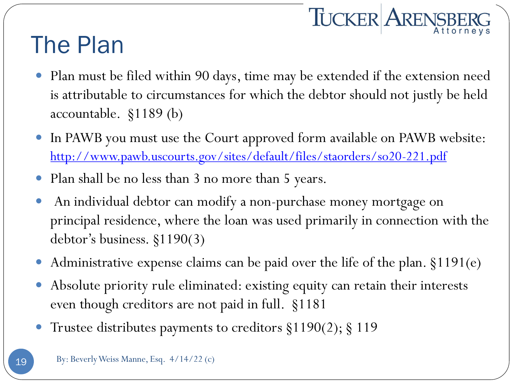# TUCKER ARENSBERG

#### The Plan

- Plan must be filed within 90 days, time may be extended if the extension need is attributable to circumstances for which the debtor should not justly be held accountable. §1189 (b)
- In PAWB you must use the Court approved form available on PAWB website: <http://www.pawb.uscourts.gov/sites/default/files/staorders/so20-221.pdf>
- Plan shall be no less than 3 no more than 5 years.
- An individual debtor can modify a non-purchase money mortgage on principal residence, where the loan was used primarily in connection with the debtor's business. §1190(3)
- Administrative expense claims can be paid over the life of the plan. §1191(e)
- Absolute priority rule eliminated: existing equity can retain their interests even though creditors are not paid in full. §1181
- Trustee distributes payments to creditors §1190(2); § 119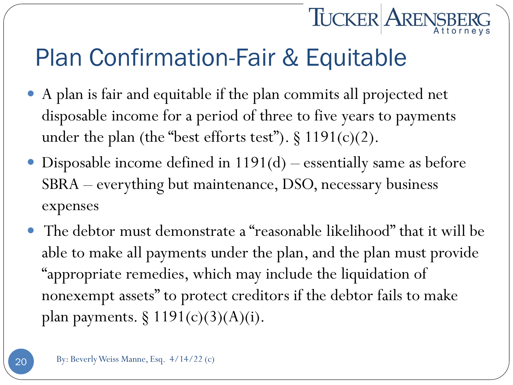#### Plan Confirmation-Fair & Equitable

 A plan is fair and equitable if the plan commits all projected net disposable income for a period of three to five years to payments under the plan (the "best efforts test").  $\S 1191(c)(2)$ .

**TUCKER ARENSBI** 

- Disposable income defined in 1191(d) essentially same as before SBRA – everything but maintenance, DSO, necessary business expenses
- The debtor must demonstrate a "reasonable likelihood" that it will be able to make all payments under the plan, and the plan must provide "appropriate remedies, which may include the liquidation of nonexempt assets" to protect creditors if the debtor fails to make plan payments.  $\S 1191(c)(3)(A)(i)$ .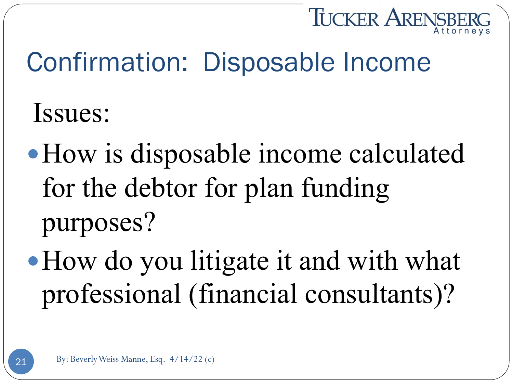

## Confirmation: Disposable Income

Issues:

- How is disposable income calculated for the debtor for plan funding purposes?
- How do you litigate it and with what professional (financial consultants)?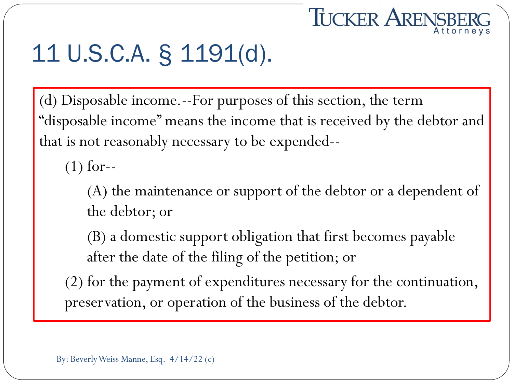# **TUCKER ARENSBER**

### 11 U.S.C.A. § 1191(d).

(d) Disposable income.--For purposes of this section, the term "disposable income" means the income that is received by the debtor and that is not reasonably necessary to be expended--

(1) for--

(A) the maintenance or support of the debtor or a dependent of the debtor; or

(B) a domestic support obligation that first becomes payable after the date of the filing of the petition; or

(2) for the payment of expenditures necessary for the continuation, preservation, or operation of the business of the debtor.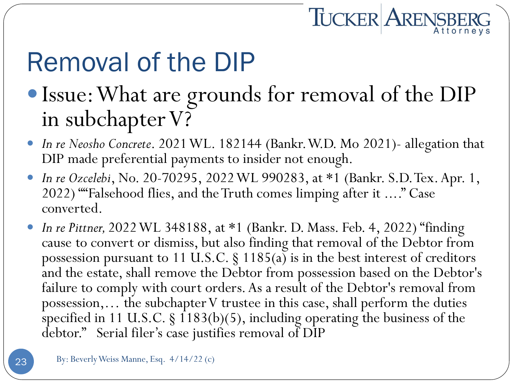# TUCKER ARENSBERG

# Removal of the DIP

- Issue: What are grounds for removal of the DIP in subchapter V?
- *In re Neosho Concrete*. 2021 WL. 182144 (Bankr. W.D. Mo 2021)- allegation that DIP made preferential payments to insider not enough.
- *In re Ozcelebi*, No. 20-70295, 2022 WL 990283, at \*1 (Bankr. S.D. Tex. Apr. 1, 2022) ""Falsehood flies, and the Truth comes limping after it ...." Case converted.
- *In re Pittner,* 2022 WL 348188, at \*1 (Bankr. D. Mass. Feb. 4, 2022) "finding cause to convert or dismiss, but also finding that removal of the Debtor from possession pursuant to 11 U.S.C.  $\S$  1185(a) is in the best interest of creditors and the estate, shall remove the Debtor from possession based on the Debtor's failure to comply with court orders. As a result of the Debtor's removal from possession,… the subchapter V trustee in this case, shall perform the duties specified in 11 U.S.C.  $\S$  1183(b)(5), including operating the business of the debtor." Serial filer's case justifies removal of DIP